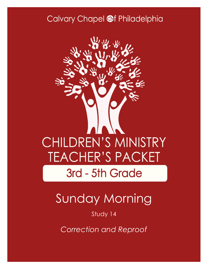### Calvary Chapel @f Philadelphia



# Sunday Morning

Study 14

*Correction and Reproof*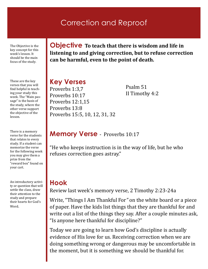### Correction and Reproof

The Objective is the key concept for this week's lesson. It should be the main focus of the study.

These are the key verses that you will find helpful in teaching your study this week. The "Main passage" is the basis of the study, where the other verse support the objective of the lesson.

There is a memory verse for the students that relates to every study. If a student can memorize the verse for the following week you may give them a prize from the "reward box" found on your cart.

An introductory activity or question that will settle the class, draw their attention to the study and prepare their hearts for God's Word.

**Objective To teach that there is wisdom and life in listening to and giving correction, but to refuse correction can be harmful, even to the point of death.** 

### **Key Verses** Proverbs 1:3,7 Proverbs 10:17 Proverbs 12:1,15 Proverbs 13:8 Proverbs 15:5, 10, 12, 31, 32

Psalm 51 II Timothy 4:2

### **Memory Verse** - Proverbs 10:17

"He who keeps instruction is in the way of life, but he who refuses correction goes astray."

### **Hook**

Review last week's memory verse, 2 Timothy 2:23-24a

Write, "Things I Am Thankful For*"* on the white board or a piece of paper. Have the kids list things that they are thankful for and write out a list of the things they say. After a couple minutes ask, "Is anyone here thankful for discipline?"

Today we are going to learn how God's discipline is actually evidence of His love for us. Receiving correction when we are doing something wrong or dangerous may be uncomfortable in the moment, but it is something we should be thankful for.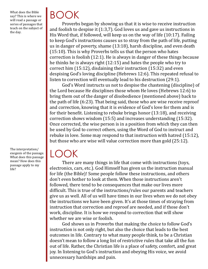What does the Bible say? This is where we will read a passage or series of passages that teach on the subject of the day.

The interpretation/ exegesis of the passage. What does this passage mean? How does this passage apply to my life?

# BOOK

Proverbs began by showing us that it is wise to receive instruction and foolish to despise it (1:3,7). God loves us and gave us instructions in His Word that, if followed, will keep us on the way of life (10:17). Failing to keep God's instructions causes us to stray from the path of life, putting us in danger of poverty, shame (13:18), harsh discipline, and even death (15:10). This is why Proverbs tells us that the person who hates correction is foolish (12:1). He is always in danger of these things because he thinks he is always right (12:15) and hates the people who try to correct him (15:12), disdaining their instruction (15:32) and even despising God's loving discipline (Hebrews 12:6). This repeated refusal to listen to correction will eventually lead to his destruction (29:1).

God's Word instructs us not to despise the chastening (discipline) of the Lord because He disciplines those whom He loves (Hebrews 12:6) to bring them out of the danger of disobedience (mentioned above) back to the path of life (6:23). That being said, those who are wise receive reproof and correction, knowing that it is evidence of God's love for them and is for their benefit. Listening to rebuke brings honor (13:18), and receiving correction shows wisdom (15:5) and increases understanding (15:32). Once corrected, the wise person is in a position from which they can then be used by God to correct others, using the Word of God to instruct and rebuke in love. Some may respond to that instruction with hatred (15:12), but those who are wise will value correction more than gold (25:12).

## LOOK

There are many things in life that come with instructions (toys, electronics, cars, etc.). God Himself has given us the instruction manual for life (the Bible)! Some people follow these instructions, and others don't even bother to look at them. When those instructions aren't followed, there tend to be consequences that make our lives more difficult. This is true of the instructions/rules our parents and teachers give us as well. All of us will have times in our lives when we do not obey the instructions we have been given. It's at those times of straying from instruction that correction and reproof are needed, and if those don't work, discipline. It is how we respond to correction that will show whether we are wise or foolish.

God shows us in Proverbs that making the choice to follow God's instruction is not only right, but also the choice that leads to the best outcomes in life. Contrary to what many people think, to be a Christian doesn't mean to follow a long list of restrictive rules that take all the fun out of life. Rather, the Christian life is a place of safety, comfort, and great joy. In listening to God's instruction and obeying His voice, we avoid unnecessary hardships and pain.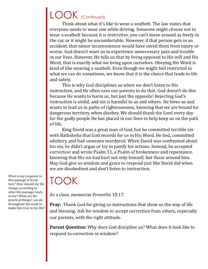## LOOK (Continued)

Think about what it's like to wear a seatbelt. The law states that everyone needs to wear one while driving. Someone might choose not to wear a seatbelt because it is restrictive, you can't move around as freely in the car, or it might be uncomfortable. However, if that person gets in an accident, that minor inconvenience would have saved them from injury or worse. God doesn't want us to experience unnecessary pain and trouble in our lives. However, He tells us that by living opposed to His will and His Word, that is exactly what we bring upon ourselves. Obeying His Word is kind of like wearing a seatbelt. Even though we might feel restricted in what we can do sometimes, we know that it is the choice that leads to life and safety.

This is why God disciplines us when we don't listen to His instruction, and He often uses our parents to do that. God doesn't do this because He wants to harm us, but just the opposite! Rejecting God's instruction is sinful, and sin is harmful to us and others. He loves us and wants to lead us in paths of righteousness, knowing that we are bound for dangerous territory when disobey. We should thank the Lord every day for the godly people He has placed in our lives to help keep us on the path of life.

King David was a great man of God, but he committed terrible sin with Bathsheba that God records for us in His Word. He lied, committed adultery, and had someone murdered. When David was confronted about his sin, he didn't argue or try to justify his actions. Instead, he accepted correction and wrote Psalm 51, a Psalm of brokenness and repentance, knowing that His sin had hurt not only himself, but those around him. May God give us wisdom and grace to respond just like David did when we are disobedient and don't listen to instruction.

## TOOK

As a class, memorize Proverbs 10:17.

**Pray:** Thank God for giving us instructions that show us the way of life and blessing. Ask for wisdom to accept correction from others, especially our parents, with the right attitude.

**Parent Question:** Why does God discipline us? What does it look like to respond to correction in wisdom?

What is my response to this passage of Scripture? How should my life change according to what this passage teaches me? What are the practical things I can do throughout the week to make this true in my life?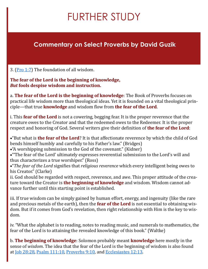# FURTHER STUDY

### **Commentary on Select Proverbs by David Guzik**

3. [\(Pro 1:7\)](https://www.blueletterbible.org/kjv/proverbs/1/7/s_629007) The foundation of all wisdom.

**The fear of the Lord is the beginning of knowledge,** *But* **fools despise wisdom and instruction.**

a. **The fear of the Lord is the beginning of knowledge**: The Book of Proverbs focuses on practical life wisdom more than theological ideas. Yet it is founded on a vital theological principle—that true **knowledge** and wisdom flow from **the fear of the Lord**.

i. This **fear of the Lord** is not a cowering, begging fear. It is the proper reverence that the creature owes to the Creator and that the redeemed owes to the Redeemer. It is the proper respect and honoring of God. Several writers give their definition of **the fear of the Lord**:

- •"But what is **the fear of the Lord**? It is that affectionate reverence by which the child of God bends himself humbly and carefully to his Father's law." (Bridges)
- •"A worshipping submission to the God of the covenant." (Kidner)

•"'The fear of the Lord' ultimately expresses reverential submission to the Lord's will and thus characterizes a true worshiper." (Ross)

•"*The fear of the Lord* signifies that *religious reverence* which every intelligent being owes to his Creator." (Clarke)

ii. God should be regarded with respect, reverence, and awe. This proper attitude of the creature toward the Creator is **the beginning of knowledge** and wisdom. Wisdom cannot advance further until this starting point is established.

iii. If true wisdom can be simply gained by human effort, energy, and ingenuity (like the rare and precious metals of the earth), then the **fear of the Lord** is not essential to obtaining wisdom. But if it comes from God's revelation, then right relationship with Him is the key to wisdom.

iv. "What the alphabet is to reading, notes to reading music, and numerals to mathematics, the fear of the Lord is to attaining the revealed knowledge of this book." (Waltke)

b. **The beginning of knowledge**: Solomon probably meant **knowledge** here mostly in the sense of *wisdom*. The idea that the fear of the Lord is the beginning of wisdom is also found at [Job 28:28,](https://www.blueletterbible.org/kjv/job/28/28/s_464028) [Psalm 111:10,](https://www.blueletterbible.org/kjv/psalms/111/10/s_589010) [Proverbs 9:10,](https://www.blueletterbible.org/kjv/proverbs/9/10/s_637010) and [Ecclesiastes 12:13.](https://www.blueletterbible.org/kjv/ecclesiastes/12/13/s_671013)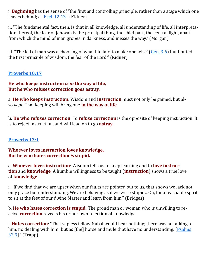i. **Beginning** has the sense of "the first and controlling principle, rather than a stage which one leaves behind; cf. [Eccl. 12:13.](https://www.blueletterbible.org/kjv/ecclesiastes/12/13/s_671013)" (Kidner)

ii. "The fundamental fact, then, is that in all knowledge, all understanding of life, all interpretation thereof, the fear of Jehovah is the principal thing, the chief part, the central light, apart from which the mind of man gropes in darkness, and misses the way." (Morgan)

iii. "The fall of man was a choosing of what bid fair 'to make one wise'  $(Gen. 3:6)$  but flouted the first principle of wisdom, the fear of the Lord." (Kidner)

#### **[Proverbs 10:17](https://www.blueletterbible.org/kjv/proverbs/10/17/s_638017)**

#### **He who keeps instruction** *is in* **the way of life, But he who refuses correction goes astray.**

a. **He who keeps instruction**: Wisdom and **instruction** must not only be gained, but also *kept*. That keeping will bring one **in the way of life**.

**b. He who refuses correction**: To **refuse correction** is the opposite of keeping instruction. It is to reject instruction, and will lead on to go **astray**.

#### **[Proverbs 12:1](https://www.blueletterbible.org/kjv/proverbs/12/1/s_640001)**

#### **Whoever loves instruction loves knowledge, But he who hates correction** *is* **stupid.**

a. **Whoever loves instruction**: Wisdom tells us to keep learning and to **love instruction** and **knowledge**. A humble willingness to be taught (**instruction**) shows a true love of **knowledge**.

i. "If we find that we are upset when our faults are pointed out to us, that shows we lack not only grace but understanding. We are behaving as if we were stupid…Oh, for a teachable spirit to sit at the feet of our divine Master and learn from him." (Bridges)

b. **He who hates correction is stupid**: The proud man or woman who is unwilling to receive **correction** reveals his or her own rejection of knowledge.

i. **Hates correction**: "That sapless fellow Nabal would hear nothing; there was no talking to him, no dealing with him; but as [the] horse and mule that have no understanding. [Psalms] [32:9\]](https://www.blueletterbible.org/kjv/psalms/32/9/s_510009)." (Trapp)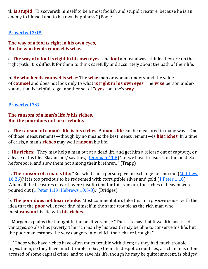**ii. Is stupid**: "Discovereth himself to be a most foolish and stupid creature, because he is an enemy to himself and to his own happiness." (Poole)

#### **[Proverbs 12:15](https://www.blueletterbible.org/kjv/proverbs/12/15/s_640015)**

#### **The way of a fool** *is* **right in his own eyes, But he who heeds counsel** *is* **wise.**

a. **The way of a fool is right in his own eyes**: The **fool** almost always thinks they are on the right path. It is difficult for them to think carefully and accurately about the path of their life.

**b. He who heeds counsel is wise**: The **wise** man or woman understand the value of **counsel** and does not look only to what **is right in his own eyes**. The **wise** person understands that is helpful to get another set of **"eyes**" on one's **way**.

#### **[Proverbs 13:8](https://www.blueletterbible.org/kjv/proverbs/13/8/s_641008)**

#### **The ransom of a man's life** *is* **his riches, But the poor does not hear rebuke.**

a. **The ransom of a man's life is his riches**: A **man's life** can be measured in many ways. One of those measurements—though by no means the best measurement—is **his riches**. In a time of crisis, a man's **riches** may well **ransom** his life.

i. **His riches**: "They may help a man out at a dead lift, and get him a release out of captivity, or a lease of his life. 'Slay us not,' say they, [*[Jeremiah 41:8\]](https://www.blueletterbible.org/kjv/jeremiah/41/8/s_786008)* 'for we have treasures in the field. So he forebore, and slew them not among their brethren.'" (Trapp)

ii. **The ransom of a man's life**: "But what can a person give in exchange for his soul (Matthew  $16:26$ ? It is too precious to be redeemed with corruptible silver and gold  $(1$  Peter 1:18). When all the treasures of earth were insufficient for this ransom, the riches of heaven were poured out [\(1 Peter 1:19;](https://www.blueletterbible.org/kjv/1peter/1/19/s_1152019) [Hebrews 10:5](https://www.blueletterbible.org/kjv/hebrews/10/5-8/s_1143005)-8)." (Bridges)

b. **The poor does not hear rebuke**: Most commentators take this in a *positive* sense, with the idea that the **poor** will never find himself in the same trouble as the rich man who must **ransom** his life with **his riches**.

i. Morgan explains the thought in the positive sense: "That is to say that if wealth has its advantages, so also has poverty. The rich man by his wealth may be able to conserve his life, but the poor man escapes the very dangers into which the rich are brought."

ii. "Those who have riches have often much trouble with them; as they had much trouble to *get* them, so they have much trouble to *keep* them. In despotic countries, a rich man is often accused of some capital crime, and to save his life, though he may be quite innocent, is obliged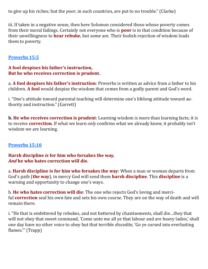to give up his riches; but the *poor*, in such countries, are put to no trouble." (Clarke)

iii. If taken in a negative sense, then here Solomon considered those whose poverty comes from their moral failings. Certainly not everyone who is **poor** is in that condition because of their unwillingness to **hear rebuke**, but some are. Their foolish rejection of wisdom leads them to poverty.

#### **[Proverbs 15:5](https://www.blueletterbible.org/kjv/proverbs/15/5/s_643005)**

#### **A fool despises his father's instruction, But he who receives correction is prudent.**

a. **A fool despises his father's instruction**: Proverbs is written as advice from a father to his children. **A fool** would despise the wisdom that comes from a godly parent and God's word.

i. "One's attitude toward parental teaching will determine one's lifelong attitude toward authority and instruction." (Garrett)

**b. He who receives correction is prudent**: Learning wisdom is more than learning facts; it is to receive **correction**. If what we learn *only* confirms what we already know, it probably isn't wisdom we are learning.

#### **[Proverbs 15:10](https://www.blueletterbible.org/kjv/proverbs/15/10/s_643010)**

**Harsh discipline** *is* **for him who forsakes the way,** *And* **he who hates correction will die.**

a. **Harsh discipline is for him who forsakes the way**: When a man or woman departs from God's path (**the way**), in mercy God will send them **harsh discipline**. This **discipline** is a warning and opportunity to change one's ways.

b. **He who hates correction will die**: The one who rejects God's loving and merciful **correction** seal his own fate and sets his own course. They are on the way of death and will remain there.

i. "He that is embittered by rebukes, and not bettered by chastisements, shall die…they that will not obey that sweet command, 'Come unto me all ye that labour and are heavy laden,' shall one day have no other voice to obey but that terrible *discedite,* 'Go ye cursed into everlasting flames.'" (Trapp)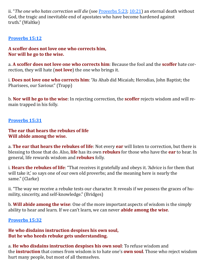ii. "*The one who hates correction will die* (see [Proverbs 5:23;](https://www.blueletterbible.org/kjv/proverbs/5/23/s_633023) [10:21\)](https://www.blueletterbible.org/kjv/proverbs/10/21/s_638021) an eternal death without God, the tragic and inevitable end of apostates who have become hardened against truth." (Waltke)

#### **[Proverbs 15:12](https://www.blueletterbible.org/kjv/proverbs/15/12/s_643012)**

**A scoffer does not love one who corrects him, Nor will he go to the wise.**

a. **A scoffer does not love one who corrects him**: Because the fool and the **scoffer** hate correction, they will hate (**not love**) the one who brings it.

i. **Does not love one who corrects him**: "As Ahab did Micaiah; Herodias, John Baptist; the Pharisees, our Saviour." (Trapp)

b. **Nor will he go to the wise**: In rejecting correction, the **scoffer** rejects wisdom and will remain trapped in his folly.

#### **[Proverbs 15:31](https://www.blueletterbible.org/kjv/proverbs/15/31/s_643031)**

#### **The ear that hears the rebukes of life Will abide among the wise.**

a. **The ear that hears the rebukes of life**: Not every **ear** will listen to correction, but there is blessing to those that do. Also, **life** has its own **rebukes** for those who have the **ear** to hear. In general, life rewards wisdom and **rebukes** folly.

i. **Hears the rebukes of life**: "That receives it gratefully and obeys it. 'Advice is for them that will take it,' so says one of our own old proverbs; and the meaning here is nearly the same." (Clarke)

ii. "The way we receive a rebuke tests our character. It reveals if we possess the graces of humility, sincerity, and self-knowledge." (Bridges)

b. **Will abide among the wise**: One of the more important aspects of wisdom is the simply ability to hear and learn. If we can't learn, we can never **abide among the wise**.

#### **[Proverbs 15:32](https://www.blueletterbible.org/kjv/proverbs/15/32/s_643032)**

#### **He who disdains instruction despises his own soul, But he who heeds rebuke gets understanding.**

a. **He who disdains instruction despises his own soul**: To refuse wisdom and the **instruction** that comes from wisdom is to hate one's **own soul**. Those who reject wisdom hurt many people, but most of all themselves.